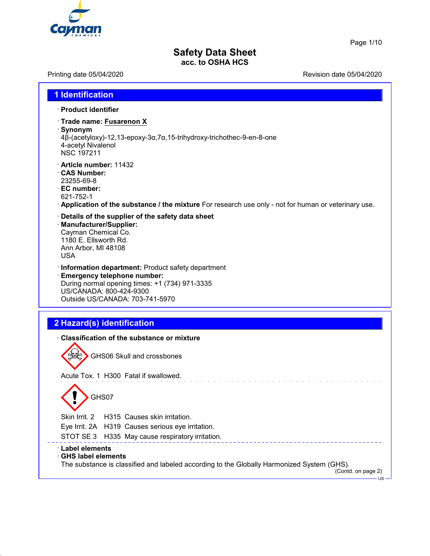

Page 1/10

# **Safety Data Sheet acc. to OSHA HCS**

Printing date 05/04/2020 **Printing date 05/04/2020** 

| <b>1 Identification</b>                                                                                                                                                                                   |
|-----------------------------------------------------------------------------------------------------------------------------------------------------------------------------------------------------------|
| · Product identifier                                                                                                                                                                                      |
| · Trade name: Fusarenon X<br>· Synonym<br>4β-(acetyloxy)-12,13-epoxy-3α,7α,15-trihydroxy-trichothec-9-en-8-one<br>4-acetyl Nivalenol<br><b>NSC 197211</b>                                                 |
| Article number: 11432<br><b>CAS Number:</b><br>23255-69-8<br>· EC number:<br>621-752-1<br>$\cdot$ Application of the substance / the mixture For research use only - not for human or veterinary use.     |
| Details of the supplier of the safety data sheet<br>· Manufacturer/Supplier:<br>Cayman Chemical Co.<br>1180 E. Ellsworth Rd.<br>Ann Arbor, MI 48108<br><b>USA</b>                                         |
| · Information department: Product safety department<br><b>Emergency telephone number:</b><br>During normal opening times: +1 (734) 971-3335<br>US/CANADA: 800-424-9300<br>Outside US/CANADA: 703-741-5970 |
|                                                                                                                                                                                                           |
| 2 Hazard(s) identification                                                                                                                                                                                |
| Classification of the substance or mixture                                                                                                                                                                |
| GHS06 Skull and crossbones                                                                                                                                                                                |
| Acute Tox. 1 H300 Fatal if swallowed.                                                                                                                                                                     |
| GHS07<br>$\checkmark$                                                                                                                                                                                     |
| Skin Irrit. 2<br>H315 Causes skin irritation.                                                                                                                                                             |
| Eye Irrit. 2A H319 Causes serious eye irritation.                                                                                                                                                         |
| STOT SE3<br>H335 May cause respiratory irritation.                                                                                                                                                        |
| <b>Label elements</b>                                                                                                                                                                                     |
| <b>GHS label elements</b><br>The substance is classified and labeled according to the Globally Harmonized System (GHS).<br>(Contd. on page 2)<br>$\cdot$ US $\cdot$                                       |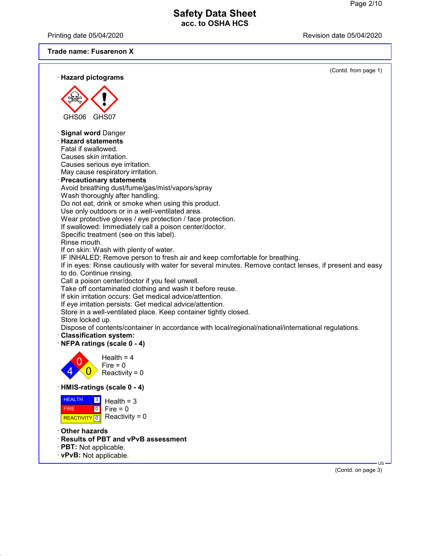Printing date 05/04/2020 **Printing date 05/04/2020** 

## **Trade name: Fusarenon X**

| · Hazard pictograms                                                                                                                                                                                                                                                                                                                                                                                                                                                                                                                                                                                                                                                                                                                                                                                                                                                                                                                                                                                                                                                                                                                                                                                                                                                                                                                                                       | (Contd. from page 1) |
|---------------------------------------------------------------------------------------------------------------------------------------------------------------------------------------------------------------------------------------------------------------------------------------------------------------------------------------------------------------------------------------------------------------------------------------------------------------------------------------------------------------------------------------------------------------------------------------------------------------------------------------------------------------------------------------------------------------------------------------------------------------------------------------------------------------------------------------------------------------------------------------------------------------------------------------------------------------------------------------------------------------------------------------------------------------------------------------------------------------------------------------------------------------------------------------------------------------------------------------------------------------------------------------------------------------------------------------------------------------------------|----------------------|
|                                                                                                                                                                                                                                                                                                                                                                                                                                                                                                                                                                                                                                                                                                                                                                                                                                                                                                                                                                                                                                                                                                                                                                                                                                                                                                                                                                           |                      |
| GHS <sub>06</sub><br>GHS07                                                                                                                                                                                                                                                                                                                                                                                                                                                                                                                                                                                                                                                                                                                                                                                                                                                                                                                                                                                                                                                                                                                                                                                                                                                                                                                                                |                      |
| <b>Signal word Danger</b><br><b>Hazard statements</b><br>Fatal if swallowed.<br>Causes skin irritation.<br>Causes serious eye irritation.<br>May cause respiratory irritation.<br><b>Precautionary statements</b><br>Avoid breathing dust/fume/gas/mist/vapors/spray<br>Wash thoroughly after handling.<br>Do not eat, drink or smoke when using this product.<br>Use only outdoors or in a well-ventilated area.<br>Wear protective gloves / eye protection / face protection.<br>If swallowed: Immediately call a poison center/doctor.<br>Specific treatment (see on this label).<br>Rinse mouth.<br>If on skin: Wash with plenty of water.<br>IF INHALED: Remove person to fresh air and keep comfortable for breathing.<br>If in eyes: Rinse cautiously with water for several minutes. Remove contact lenses, if present and easy<br>to do. Continue rinsing.<br>Call a poison center/doctor if you feel unwell.<br>Take off contaminated clothing and wash it before reuse.<br>If skin irritation occurs: Get medical advice/attention.<br>If eye irritation persists: Get medical advice/attention.<br>Store in a well-ventilated place. Keep container tightly closed.<br>Store locked up.<br>Dispose of contents/container in accordance with local/regional/national/international regulations.<br><b>Classification system:</b><br>NFPA ratings (scale 0 - 4) |                      |
| Health = $4$<br>$Fire = 0$<br>Reactivity = $0$                                                                                                                                                                                                                                                                                                                                                                                                                                                                                                                                                                                                                                                                                                                                                                                                                                                                                                                                                                                                                                                                                                                                                                                                                                                                                                                            |                      |
| · HMIS-ratings (scale 0 - 4)                                                                                                                                                                                                                                                                                                                                                                                                                                                                                                                                                                                                                                                                                                                                                                                                                                                                                                                                                                                                                                                                                                                                                                                                                                                                                                                                              |                      |
| <b>HEALTH</b><br>$\boxed{3}$<br>Health = $3$<br>Fire = $0$<br>$\boxed{0}$<br><b>FIRE</b><br>Reactivity = $0$<br>REACTIVITY <sup>0</sup>                                                                                                                                                                                                                                                                                                                                                                                                                                                                                                                                                                                                                                                                                                                                                                                                                                                                                                                                                                                                                                                                                                                                                                                                                                   |                      |
| Other hazards<br><b>Results of PBT and vPvB assessment</b><br>· PBT: Not applicable.<br>· vPvB: Not applicable.                                                                                                                                                                                                                                                                                                                                                                                                                                                                                                                                                                                                                                                                                                                                                                                                                                                                                                                                                                                                                                                                                                                                                                                                                                                           | $US -$               |
|                                                                                                                                                                                                                                                                                                                                                                                                                                                                                                                                                                                                                                                                                                                                                                                                                                                                                                                                                                                                                                                                                                                                                                                                                                                                                                                                                                           | $(Contd)$ on page 3) |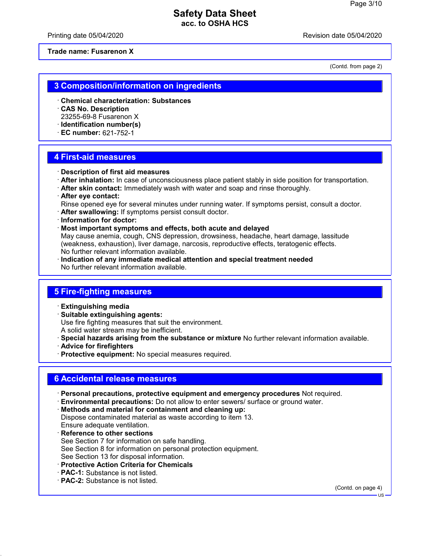Printing date 05/04/2020 **Review Accord 2012** Revision date 05/04/2020

**Trade name: Fusarenon X**

(Contd. from page 2)

### **3 Composition/information on ingredients**

- · **Chemical characterization: Substances**
- · **CAS No. Description** 23255-69-8 Fusarenon X
- · **Identification number(s)**
- · **EC number:** 621-752-1

#### **4 First-aid measures**

- · **Description of first aid measures**
- · **After inhalation:** In case of unconsciousness place patient stably in side position for transportation.
- · **After skin contact:** Immediately wash with water and soap and rinse thoroughly.
- · **After eye contact:**
- Rinse opened eye for several minutes under running water. If symptoms persist, consult a doctor.
- · **After swallowing:** If symptoms persist consult doctor.
- · **Information for doctor:**
- · **Most important symptoms and effects, both acute and delayed**

May cause anemia, cough, CNS depression, drowsiness, headache, heart damage, lassitude (weakness, exhaustion), liver damage, narcosis, reproductive effects, teratogenic effects. No further relevant information available.

· **Indication of any immediate medical attention and special treatment needed** No further relevant information available.

### **5 Fire-fighting measures**

- · **Extinguishing media**
- · **Suitable extinguishing agents:**
- Use fire fighting measures that suit the environment.
- A solid water stream may be inefficient.
- · **Special hazards arising from the substance or mixture** No further relevant information available.
- · **Advice for firefighters**
- · **Protective equipment:** No special measures required.

# **6 Accidental release measures**

- · **Personal precautions, protective equipment and emergency procedures** Not required.
- · **Environmental precautions:** Do not allow to enter sewers/ surface or ground water.
- · **Methods and material for containment and cleaning up:** Dispose contaminated material as waste according to item 13. Ensure adequate ventilation.
- **Reference to other sections** See Section 7 for information on safe handling. See Section 8 for information on personal protection equipment. See Section 13 for disposal information.
- · **Protective Action Criteria for Chemicals**
- · **PAC-1:** Substance is not listed.
- · **PAC-2:** Substance is not listed.

(Contd. on page 4)

US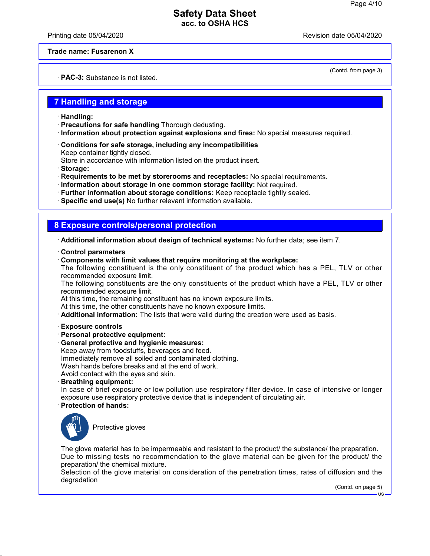Printing date 05/04/2020 **Review Accord 2012** Revision date 05/04/2020

(Contd. from page 3)

#### **Trade name: Fusarenon X**

· **PAC-3:** Substance is not listed.

### **7 Handling and storage**

- · **Handling:**
- · **Precautions for safe handling** Thorough dedusting.
- · **Information about protection against explosions and fires:** No special measures required.
- · **Conditions for safe storage, including any incompatibilities** Keep container tightly closed.

Store in accordance with information listed on the product insert.

· **Storage:**

- · **Requirements to be met by storerooms and receptacles:** No special requirements.
- · **Information about storage in one common storage facility:** Not required.
- · **Further information about storage conditions:** Keep receptacle tightly sealed.
- · **Specific end use(s)** No further relevant information available.

### **8 Exposure controls/personal protection**

· **Additional information about design of technical systems:** No further data; see item 7.

- · **Control parameters**
- · **Components with limit values that require monitoring at the workplace:**

The following constituent is the only constituent of the product which has a PEL, TLV or other recommended exposure limit.

The following constituents are the only constituents of the product which have a PEL, TLV or other recommended exposure limit.

At this time, the remaining constituent has no known exposure limits.

At this time, the other constituents have no known exposure limits.

- · **Additional information:** The lists that were valid during the creation were used as basis.
- · **Exposure controls**
- · **Personal protective equipment:**
- · **General protective and hygienic measures:**
- Keep away from foodstuffs, beverages and feed. Immediately remove all soiled and contaminated clothing.

Wash hands before breaks and at the end of work.

Avoid contact with the eyes and skin.

· **Breathing equipment:**

In case of brief exposure or low pollution use respiratory filter device. In case of intensive or longer exposure use respiratory protective device that is independent of circulating air.

#### · **Protection of hands:**



Protective gloves

The glove material has to be impermeable and resistant to the product/ the substance/ the preparation. Due to missing tests no recommendation to the glove material can be given for the product/ the preparation/ the chemical mixture.

Selection of the glove material on consideration of the penetration times, rates of diffusion and the degradation

(Contd. on page 5)

US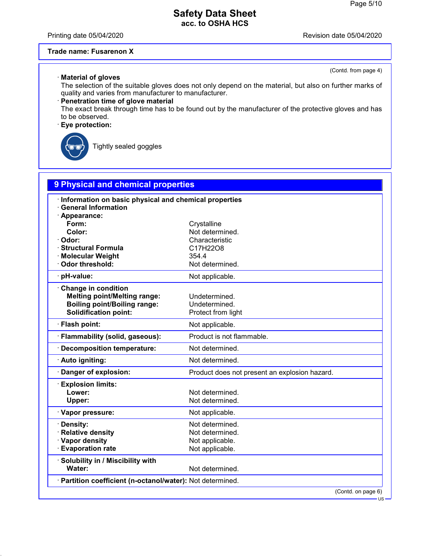Printing date 05/04/2020 **Printing date 05/04/2020** 

(Contd. from page 4)

#### **Trade name: Fusarenon X**

· **Material of gloves** The selection of the suitable gloves does not only depend on the material, but also on further marks of quality and varies from manufacturer to manufacturer.

### · **Penetration time of glove material**

The exact break through time has to be found out by the manufacturer of the protective gloves and has to be observed.

### · **Eye protection:**



Tightly sealed goggles

| 9 Physical and chemical properties                                  |                                               |  |  |
|---------------------------------------------------------------------|-----------------------------------------------|--|--|
| Information on basic physical and chemical properties               |                                               |  |  |
| <b>General Information</b>                                          |                                               |  |  |
| · Appearance:                                                       |                                               |  |  |
| Form:                                                               | Crystalline                                   |  |  |
| Color:                                                              | Not determined.                               |  |  |
| Odor:<br><b>Structural Formula</b>                                  | Characteristic<br>C17H22O8                    |  |  |
| <b>Molecular Weight</b>                                             | 354.4                                         |  |  |
| Odor threshold:                                                     | Not determined.                               |  |  |
| · pH-value:                                                         | Not applicable.                               |  |  |
|                                                                     |                                               |  |  |
| Change in condition                                                 |                                               |  |  |
| <b>Melting point/Melting range:</b>                                 | Undetermined.                                 |  |  |
| <b>Boiling point/Boiling range:</b><br><b>Solidification point:</b> | Undetermined.<br>Protect from light           |  |  |
|                                                                     |                                               |  |  |
| · Flash point:                                                      | Not applicable.                               |  |  |
| · Flammability (solid, gaseous):                                    | Product is not flammable.                     |  |  |
| · Decomposition temperature:                                        | Not determined.                               |  |  |
| · Auto igniting:                                                    | Not determined.                               |  |  |
| Danger of explosion:                                                | Product does not present an explosion hazard. |  |  |
| <b>Explosion limits:</b>                                            |                                               |  |  |
| Lower:                                                              | Not determined.                               |  |  |
| Upper:                                                              | Not determined.                               |  |  |
| · Vapor pressure:                                                   | Not applicable.                               |  |  |
| · Density:                                                          | Not determined.                               |  |  |
| · Relative density                                                  | Not determined.                               |  |  |
| · Vapor density                                                     | Not applicable.                               |  |  |
| <b>Evaporation rate</b>                                             | Not applicable.                               |  |  |
| · Solubility in / Miscibility with                                  |                                               |  |  |
| Water:                                                              | Not determined.                               |  |  |
| · Partition coefficient (n-octanol/water): Not determined.          |                                               |  |  |
|                                                                     | (Contd. on page 6)                            |  |  |

US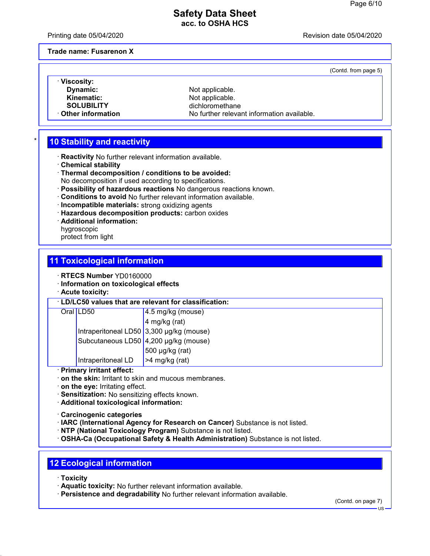Printing date 05/04/2020 **Review Accord 2012** Revision date 05/04/2020

(Contd. from page 5)

**Trade name: Fusarenon X**

· **Viscosity: Dynamic:** Not applicable.<br> **Kinematic:** Not applicable.

**Kinematic:** Not applicable.<br> **SOLUBILITY** dichloromethan dichloromethane **Other information** No further relevant information available.

# **10 Stability and reactivity**

- · **Reactivity** No further relevant information available.
- · **Chemical stability**
- · **Thermal decomposition / conditions to be avoided:** No decomposition if used according to specifications.
- · **Possibility of hazardous reactions** No dangerous reactions known.
- · **Conditions to avoid** No further relevant information available.
- · **Incompatible materials:** strong oxidizing agents
- · **Hazardous decomposition products:** carbon oxides
- · **Additional information:**
- hygroscopic
- protect from light

### **11 Toxicological information**

- · **RTECS Number** YD0160000
- · **Information on toxicological effects**
- · **Acute toxicity:**

#### · **LD/LC50 values that are relevant for classification:**

| Oral LD50                                | $4.5$ mg/kg (mouse)    |
|------------------------------------------|------------------------|
|                                          | $4$ mg/kg (rat)        |
| Intraperitoneal LD50 3,300 µg/kg (mouse) |                        |
| Subcutaneous LD50 4,200 µg/kg (mouse)    |                        |
|                                          | 500 µg/kg (rat)        |
| Intraperitoneal LD                       | $\vert$ >4 mg/kg (rat) |

#### · **Primary irritant effect:**

- · **on the skin:** Irritant to skin and mucous membranes.
- · **on the eye:** Irritating effect.
- · **Sensitization:** No sensitizing effects known.
- · **Additional toxicological information:**
- · **Carcinogenic categories**
- · **IARC (International Agency for Research on Cancer)** Substance is not listed.
- · **NTP (National Toxicology Program)** Substance is not listed.
- · **OSHA-Ca (Occupational Safety & Health Administration)** Substance is not listed.

# **12 Ecological information**

- · **Toxicity**
- · **Aquatic toxicity:** No further relevant information available.
- · **Persistence and degradability** No further relevant information available.

(Contd. on page 7)

US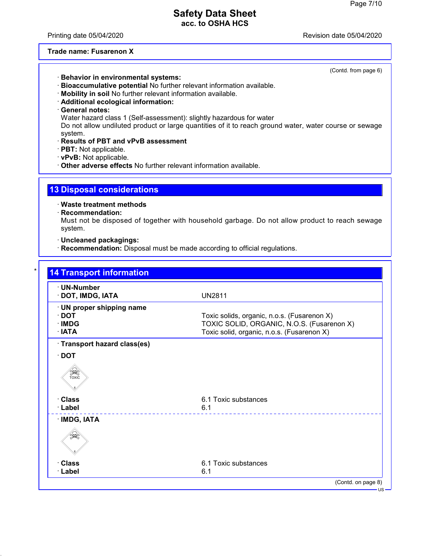Printing date 05/04/2020 **Review Accord 2012** Revision date 05/04/2020

#### **Trade name: Fusarenon X**

(Contd. from page 6)

- · **Behavior in environmental systems:**
- · **Bioaccumulative potential** No further relevant information available.
- · **Mobility in soil** No further relevant information available.
- · **Additional ecological information:**
- · **General notes:**

Water hazard class 1 (Self-assessment): slightly hazardous for water

Do not allow undiluted product or large quantities of it to reach ground water, water course or sewage system.

- · **Results of PBT and vPvB assessment**
- · **PBT:** Not applicable.
- · **vPvB:** Not applicable.
- · **Other adverse effects** No further relevant information available.

### **13 Disposal considerations**

· **Waste treatment methods**

· **Recommendation:**

Must not be disposed of together with household garbage. Do not allow product to reach sewage system.

· **Uncleaned packagings:**

· **Recommendation:** Disposal must be made according to official regulations.

| · UN-Number<br>· DOT, IMDG, IATA | <b>UN2811</b>                               |
|----------------------------------|---------------------------------------------|
| · UN proper shipping name        |                                             |
| $\cdot$ DOT                      | Toxic solids, organic, n.o.s. (Fusarenon X) |
| $\cdot$ IMDG                     | TOXIC SOLID, ORGANIC, N.O.S. (Fusarenon X)  |
| $\cdot$ IATA                     | Toxic solid, organic, n.o.s. (Fusarenon X)  |
| · Transport hazard class(es)     |                                             |
| $\cdot$ DOT                      |                                             |
| SEEP<br>TOXIC                    |                                             |
| · Class                          | 6.1 Toxic substances                        |
| · Label                          | 6.1                                         |
| · IMDG, IATA                     |                                             |
|                                  |                                             |
| · Class                          | 6.1 Toxic substances                        |
| · Label                          | 6.1                                         |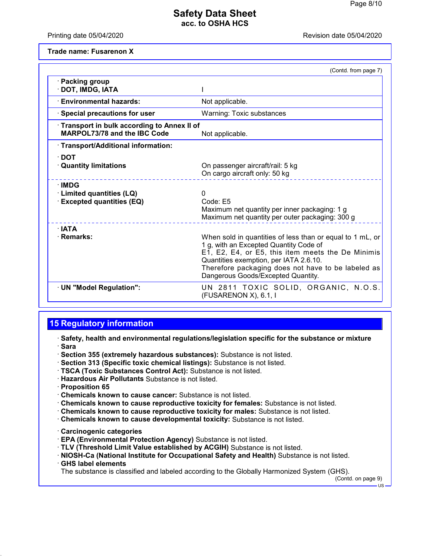Printing date 05/04/2020 **Review Accord 2012** Revision date 05/04/2020

**Trade name: Fusarenon X**

|                                                                              | (Contd. from page 7)                                                                                                                                                                                                                                                                           |
|------------------------------------------------------------------------------|------------------------------------------------------------------------------------------------------------------------------------------------------------------------------------------------------------------------------------------------------------------------------------------------|
| · Packing group<br>DOT, IMDG, IATA                                           |                                                                                                                                                                                                                                                                                                |
| <b>Environmental hazards:</b>                                                | Not applicable.                                                                                                                                                                                                                                                                                |
| $\cdot$ Special precautions for user                                         | <b>Warning: Toxic substances</b>                                                                                                                                                                                                                                                               |
| Transport in bulk according to Annex II of<br>MARPOL73/78 and the IBC Code   | Not applicable.                                                                                                                                                                                                                                                                                |
| · Transport/Additional information:                                          |                                                                                                                                                                                                                                                                                                |
| $\cdot$ DOT<br><b>Quantity limitations</b>                                   | On passenger aircraft/rail: 5 kg<br>On cargo aircraft only: 50 kg                                                                                                                                                                                                                              |
| $\cdot$ IMDG<br>· Limited quantities (LQ)<br><b>Excepted quantities (EQ)</b> | 0<br>Code: E5<br>Maximum net quantity per inner packaging: 1 g<br>Maximum net quantity per outer packaging: 300 g                                                                                                                                                                              |
| ∴IATA<br>· Remarks:                                                          | When sold in quantities of less than or equal to 1 mL, or<br>1 g, with an Excepted Quantity Code of<br>E1, E2, E4, or E5, this item meets the De Minimis<br>Quantities exemption, per IATA 2.6.10.<br>Therefore packaging does not have to be labeled as<br>Dangerous Goods/Excepted Quantity. |
| · UN "Model Regulation":                                                     | UN 2811 TOXIC SOLID, ORGANIC, N.O.S.<br>(FUSARENON X), 6.1, I                                                                                                                                                                                                                                  |

# **15 Regulatory information**

· **Safety, health and environmental regulations/legislation specific for the substance or mixture** · **Sara**

- · **Section 355 (extremely hazardous substances):** Substance is not listed.
- · **Section 313 (Specific toxic chemical listings):** Substance is not listed.
- · **TSCA (Toxic Substances Control Act):** Substance is not listed.
- · **Hazardous Air Pollutants** Substance is not listed.
- · **Proposition 65**
- · **Chemicals known to cause cancer:** Substance is not listed.
- · **Chemicals known to cause reproductive toxicity for females:** Substance is not listed.
- · **Chemicals known to cause reproductive toxicity for males:** Substance is not listed.
- · **Chemicals known to cause developmental toxicity:** Substance is not listed.
- · **Carcinogenic categories**
- · **EPA (Environmental Protection Agency)** Substance is not listed.
- · **TLV (Threshold Limit Value established by ACGIH)** Substance is not listed.
- · **NIOSH-Ca (National Institute for Occupational Safety and Health)** Substance is not listed.
- · **GHS label elements**

The substance is classified and labeled according to the Globally Harmonized System (GHS).

(Contd. on page 9)

US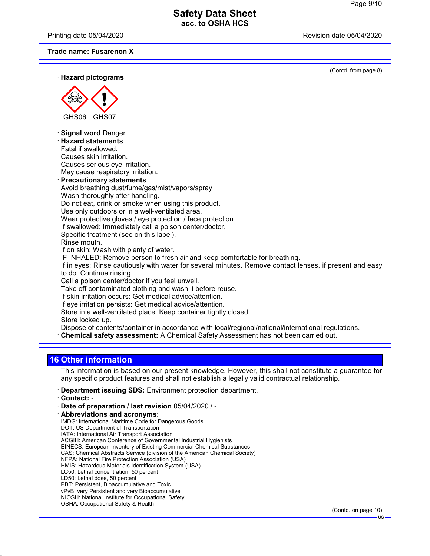Printing date 05/04/2020 **Review Accord 2012** Revision date 05/04/2020

#### **Trade name: Fusarenon X**

| · Hazard pictograms                                                                                                                                                                       | (Contd. from page 8) |
|-------------------------------------------------------------------------------------------------------------------------------------------------------------------------------------------|----------------------|
|                                                                                                                                                                                           |                      |
|                                                                                                                                                                                           |                      |
| GHS06<br>GHS07                                                                                                                                                                            |                      |
| · Signal word Danger                                                                                                                                                                      |                      |
| <b>Hazard statements</b>                                                                                                                                                                  |                      |
| Fatal if swallowed.                                                                                                                                                                       |                      |
| Causes skin irritation.<br>Causes serious eye irritation.                                                                                                                                 |                      |
| May cause respiratory irritation.                                                                                                                                                         |                      |
| <b>Precautionary statements</b>                                                                                                                                                           |                      |
| Avoid breathing dust/fume/gas/mist/vapors/spray                                                                                                                                           |                      |
| Wash thoroughly after handling.                                                                                                                                                           |                      |
| Do not eat, drink or smoke when using this product.                                                                                                                                       |                      |
| Use only outdoors or in a well-ventilated area.<br>Wear protective gloves / eye protection / face protection.                                                                             |                      |
| If swallowed: Immediately call a poison center/doctor.                                                                                                                                    |                      |
| Specific treatment (see on this label).                                                                                                                                                   |                      |
| Rinse mouth.                                                                                                                                                                              |                      |
| If on skin: Wash with plenty of water.                                                                                                                                                    |                      |
| IF INHALED: Remove person to fresh air and keep comfortable for breathing.                                                                                                                |                      |
| If in eyes: Rinse cautiously with water for several minutes. Remove contact lenses, if present and easy<br>to do. Continue rinsing.                                                       |                      |
| Call a poison center/doctor if you feel unwell.                                                                                                                                           |                      |
| Take off contaminated clothing and wash it before reuse.                                                                                                                                  |                      |
| If skin irritation occurs: Get medical advice/attention.                                                                                                                                  |                      |
| If eye irritation persists: Get medical advice/attention.                                                                                                                                 |                      |
| Store in a well-ventilated place. Keep container tightly closed.                                                                                                                          |                      |
| Store locked up.                                                                                                                                                                          |                      |
| Dispose of contents/container in accordance with local/regional/national/international regulations.<br>Chemical safety assessment: A Chemical Safety Assessment has not been carried out. |                      |
|                                                                                                                                                                                           |                      |
| <b>16 Other information</b>                                                                                                                                                               |                      |

This information is based on our present knowledge. However, this shall not constitute a guarantee for any specific product features and shall not establish a legally valid contractual relationship.

- · **Department issuing SDS:** Environment protection department.
- · **Contact:** -
- · **Date of preparation / last revision** 05/04/2020 / -
- · **Abbreviations and acronyms:** IMDG: International Maritime Code for Dangerous Goods
- DOT: US Department of Transportation IATA: International Air Transport Association ACGIH: American Conference of Governmental Industrial Hygienists EINECS: European Inventory of Existing Commercial Chemical Substances CAS: Chemical Abstracts Service (division of the American Chemical Society) NFPA: National Fire Protection Association (USA) HMIS: Hazardous Materials Identification System (USA) LC50: Lethal concentration, 50 percent LD50: Lethal dose, 50 percent PBT: Persistent, Bioaccumulative and Toxic vPvB: very Persistent and very Bioaccumulative NIOSH: National Institute for Occupational Safety OSHA: Occupational Safety & Health

(Contd. on page 10)

US